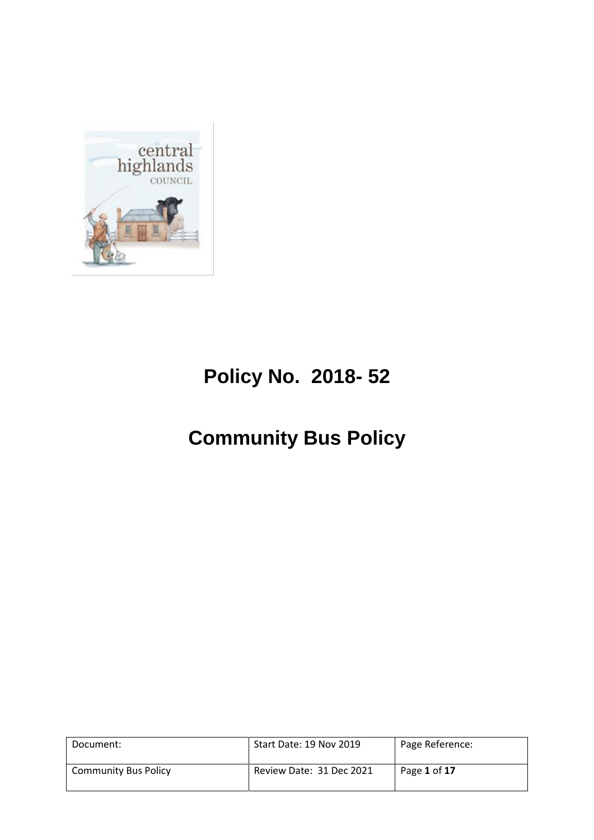

# **Policy No. 2018- 52**

# **Community Bus Policy**

| Document:                   | Start Date: 19 Nov 2019  | Page Reference: |
|-----------------------------|--------------------------|-----------------|
| <b>Community Bus Policy</b> | Review Date: 31 Dec 2021 | Page 1 of 17    |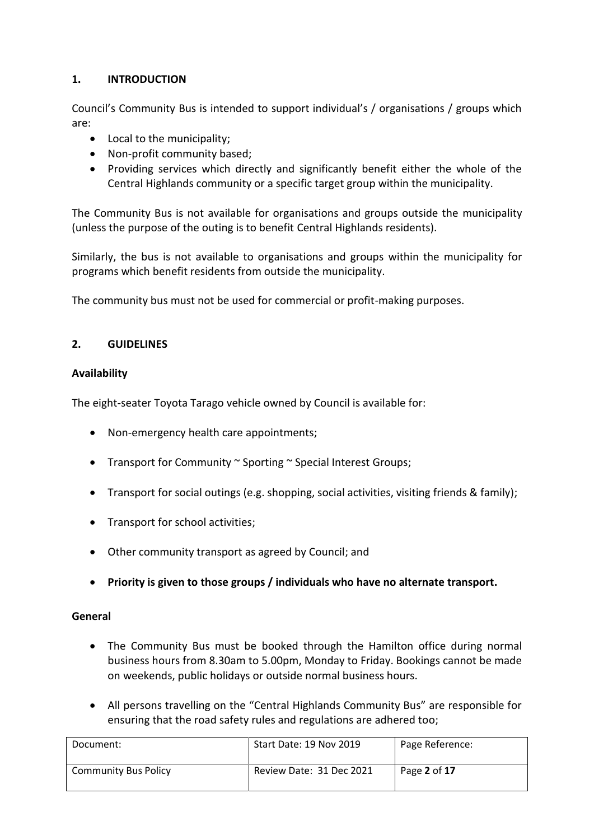### **1. INTRODUCTION**

Council's Community Bus is intended to support individual's / organisations / groups which are:

- Local to the municipality;
- Non-profit community based;
- Providing services which directly and significantly benefit either the whole of the Central Highlands community or a specific target group within the municipality.

The Community Bus is not available for organisations and groups outside the municipality (unless the purpose of the outing is to benefit Central Highlands residents).

Similarly, the bus is not available to organisations and groups within the municipality for programs which benefit residents from outside the municipality.

The community bus must not be used for commercial or profit-making purposes.

### **2. GUIDELINES**

### **Availability**

The eight-seater Toyota Tarago vehicle owned by Council is available for:

- Non-emergency health care appointments;
- Transport for Community ~ Sporting ~ Special Interest Groups;
- Transport for social outings (e.g. shopping, social activities, visiting friends & family);
- Transport for school activities;
- Other community transport as agreed by Council; and
- **Priority is given to those groups / individuals who have no alternate transport.**

### **General**

- The Community Bus must be booked through the Hamilton office during normal business hours from 8.30am to 5.00pm, Monday to Friday. Bookings cannot be made on weekends, public holidays or outside normal business hours.
- All persons travelling on the "Central Highlands Community Bus" are responsible for ensuring that the road safety rules and regulations are adhered too;

| Document:                   | Start Date: 19 Nov 2019  | Page Reference: |
|-----------------------------|--------------------------|-----------------|
| <b>Community Bus Policy</b> | Review Date: 31 Dec 2021 | Page 2 of 17    |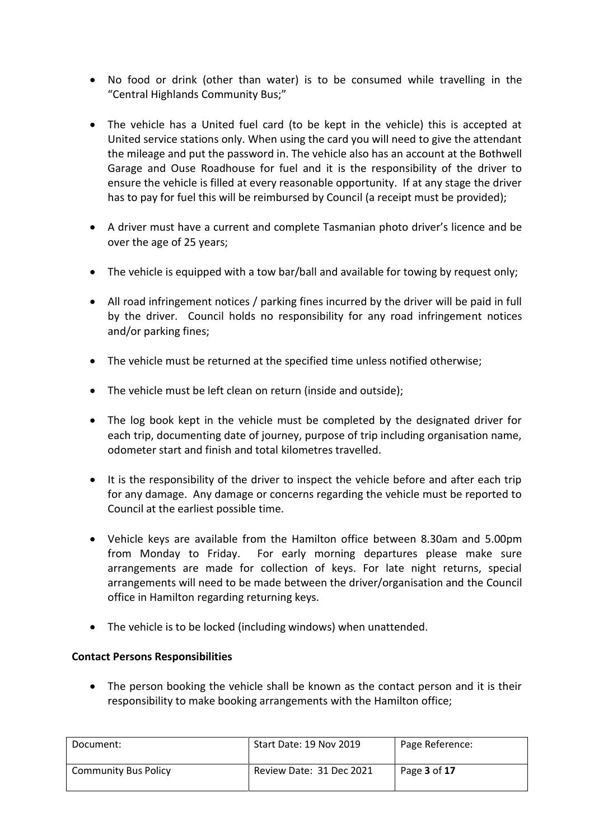- No food or drink (other than water) is to be consumed while travelling in the "Central Highlands Community Bus;"
- The vehicle has a United fuel card (to be kept in the vehicle) this is accepted at United service stations only. When using the card you will need to give the attendant the mileage and put the password in. The vehicle also has an account at the Bothwell Garage and Ouse Roadhouse for fuel and it is the responsibility of the driver to ensure the vehicle is filled at every reasonable opportunity. If at any stage the driver has to pay for fuel this will be reimbursed by Council (a receipt must be provided);
- A driver must have a current and complete Tasmanian photo driver's licence and be over the age of 25 years;
- The vehicle is equipped with a tow bar/ball and available for towing by request only;
- All road infringement notices / parking fines incurred by the driver will be paid in full by the driver. Council holds no responsibility for any road infringement notices and/or parking fines;
- The vehicle must be returned at the specified time unless notified otherwise;
- The vehicle must be left clean on return (inside and outside);
- The log book kept in the vehicle must be completed by the designated driver for each trip, documenting date of journey, purpose of trip including organisation name, odometer start and finish and total kilometres travelled.
- It is the responsibility of the driver to inspect the vehicle before and after each trip for any damage. Any damage or concerns regarding the vehicle must be reported to Council at the earliest possible time.
- Vehicle keys are available from the Hamilton office between 8.30am and 5.00pm from Monday to Friday. For early morning departures please make sure arrangements are made for collection of keys. For late night returns, special arrangements will need to be made between the driver/organisation and the Council office in Hamilton regarding returning keys.
- The vehicle is to be locked (including windows) when unattended.

### **Contact Persons Responsibilities**

 The person booking the vehicle shall be known as the contact person and it is their responsibility to make booking arrangements with the Hamilton office;

| Document:                   | Start Date: 19 Nov 2019  | Page Reference: |
|-----------------------------|--------------------------|-----------------|
| <b>Community Bus Policy</b> | Review Date: 31 Dec 2021 | Page 3 of 17    |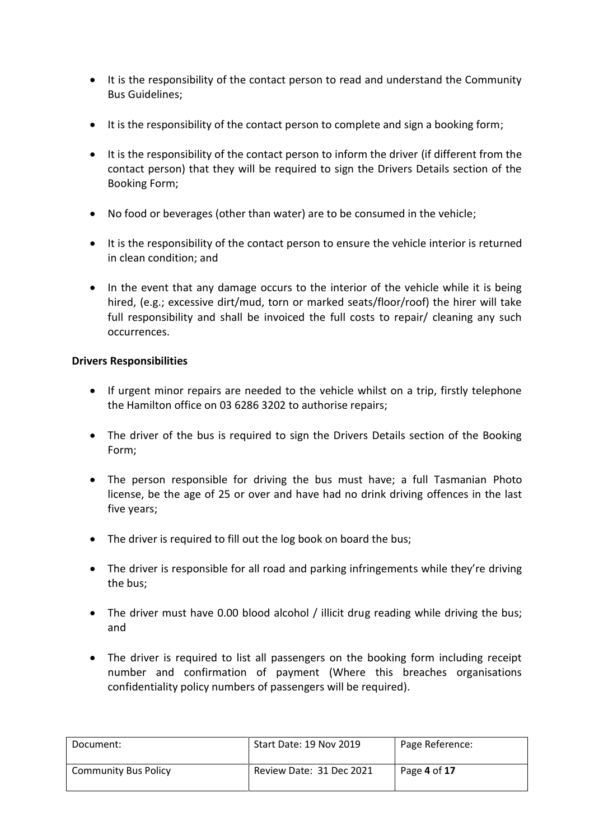- It is the responsibility of the contact person to read and understand the Community Bus Guidelines;
- It is the responsibility of the contact person to complete and sign a booking form;
- It is the responsibility of the contact person to inform the driver (if different from the contact person) that they will be required to sign the Drivers Details section of the Booking Form;
- No food or beverages (other than water) are to be consumed in the vehicle;
- It is the responsibility of the contact person to ensure the vehicle interior is returned in clean condition; and
- In the event that any damage occurs to the interior of the vehicle while it is being hired, (e.g.; excessive dirt/mud, torn or marked seats/floor/roof) the hirer will take full responsibility and shall be invoiced the full costs to repair/ cleaning any such occurrences.

### **Drivers Responsibilities**

- If urgent minor repairs are needed to the vehicle whilst on a trip, firstly telephone the Hamilton office on 03 6286 3202 to authorise repairs;
- The driver of the bus is required to sign the Drivers Details section of the Booking Form;
- The person responsible for driving the bus must have; a full Tasmanian Photo license, be the age of 25 or over and have had no drink driving offences in the last five years;
- The driver is required to fill out the log book on board the bus;
- The driver is responsible for all road and parking infringements while they're driving the bus;
- The driver must have 0.00 blood alcohol / illicit drug reading while driving the bus; and
- The driver is required to list all passengers on the booking form including receipt number and confirmation of payment (Where this breaches organisations confidentiality policy numbers of passengers will be required).

| Document:                   | Start Date: 19 Nov 2019  | Page Reference: |
|-----------------------------|--------------------------|-----------------|
| <b>Community Bus Policy</b> | Review Date: 31 Dec 2021 | Page 4 of 17    |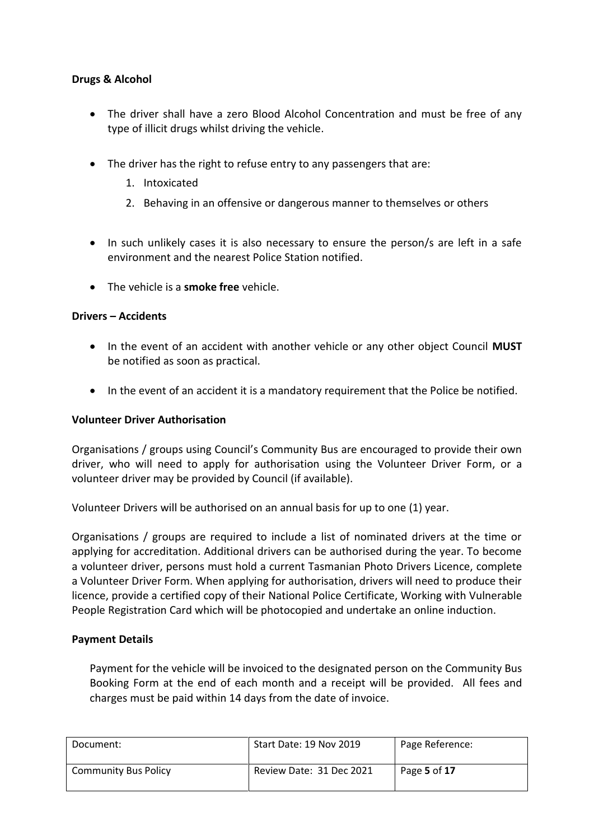### **Drugs & Alcohol**

- The driver shall have a zero Blood Alcohol Concentration and must be free of any type of illicit drugs whilst driving the vehicle.
- The driver has the right to refuse entry to any passengers that are:
	- 1. Intoxicated
	- 2. Behaving in an offensive or dangerous manner to themselves or others
- In such unlikely cases it is also necessary to ensure the person/s are left in a safe environment and the nearest Police Station notified.
- The vehicle is a **smoke free** vehicle.

### **Drivers – Accidents**

- In the event of an accident with another vehicle or any other object Council **MUST** be notified as soon as practical.
- In the event of an accident it is a mandatory requirement that the Police be notified.

### **Volunteer Driver Authorisation**

Organisations / groups using Council's Community Bus are encouraged to provide their own driver, who will need to apply for authorisation using the Volunteer Driver Form, or a volunteer driver may be provided by Council (if available).

Volunteer Drivers will be authorised on an annual basis for up to one (1) year.

Organisations / groups are required to include a list of nominated drivers at the time or applying for accreditation. Additional drivers can be authorised during the year. To become a volunteer driver, persons must hold a current Tasmanian Photo Drivers Licence, complete a Volunteer Driver Form. When applying for authorisation, drivers will need to produce their licence, provide a certified copy of their National Police Certificate, Working with Vulnerable People Registration Card which will be photocopied and undertake an online induction.

### **Payment Details**

Payment for the vehicle will be invoiced to the designated person on the Community Bus Booking Form at the end of each month and a receipt will be provided. All fees and charges must be paid within 14 days from the date of invoice.

| Document:                   | Start Date: 19 Nov 2019  | Page Reference: |
|-----------------------------|--------------------------|-----------------|
| <b>Community Bus Policy</b> | Review Date: 31 Dec 2021 | Page 5 of 17    |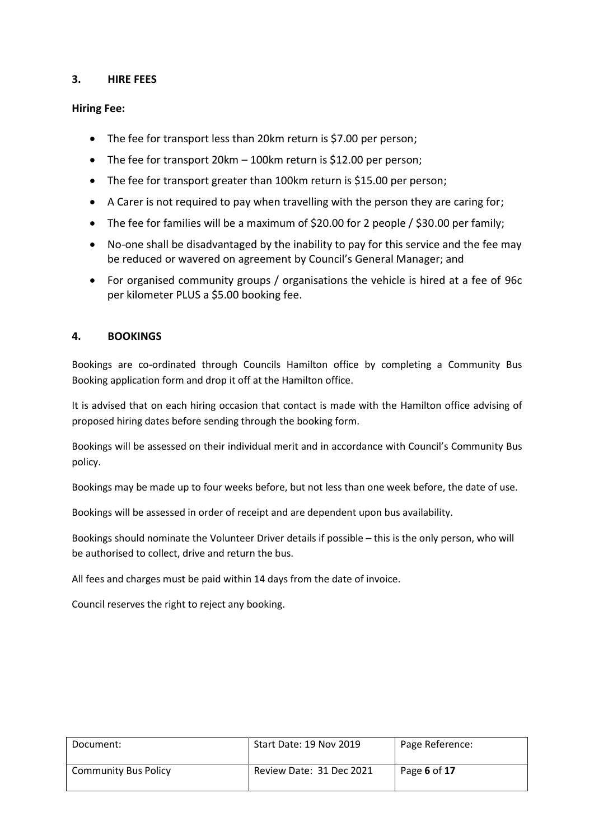### **3. HIRE FEES**

### **Hiring Fee:**

- The fee for transport less than 20km return is \$7.00 per person;
- The fee for transport 20km 100km return is \$12.00 per person;
- The fee for transport greater than 100km return is \$15.00 per person;
- A Carer is not required to pay when travelling with the person they are caring for;
- The fee for families will be a maximum of \$20.00 for 2 people / \$30.00 per family;
- No-one shall be disadvantaged by the inability to pay for this service and the fee may be reduced or wavered on agreement by Council's General Manager; and
- For organised community groups / organisations the vehicle is hired at a fee of 96c per kilometer PLUS a \$5.00 booking fee.

### **4. BOOKINGS**

Bookings are co-ordinated through Councils Hamilton office by completing a Community Bus Booking application form and drop it off at the Hamilton office.

It is advised that on each hiring occasion that contact is made with the Hamilton office advising of proposed hiring dates before sending through the booking form.

Bookings will be assessed on their individual merit and in accordance with Council's Community Bus policy.

Bookings may be made up to four weeks before, but not less than one week before, the date of use.

Bookings will be assessed in order of receipt and are dependent upon bus availability.

Bookings should nominate the Volunteer Driver details if possible – this is the only person, who will be authorised to collect, drive and return the bus.

All fees and charges must be paid within 14 days from the date of invoice.

Council reserves the right to reject any booking.

| Document:                   | Start Date: 19 Nov 2019  | Page Reference: |
|-----------------------------|--------------------------|-----------------|
| <b>Community Bus Policy</b> | Review Date: 31 Dec 2021 | Page 6 of 17    |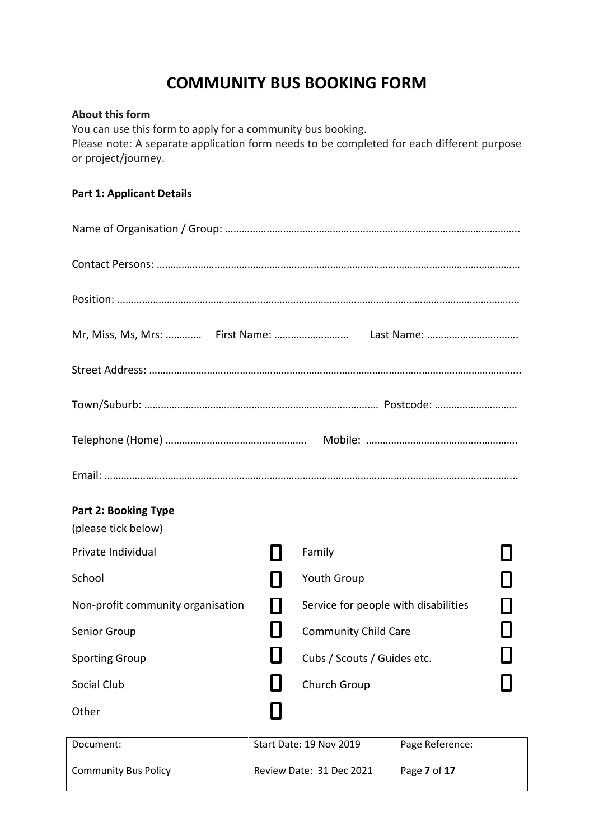# **COMMUNITY BUS BOOKING FORM**

### **About this form**

You can use this form to apply for a community bus booking. Please note: A separate application form needs to be completed for each different purpose or project/journey.

### **Part 1: Applicant Details**

|                                                    | Mr, Miss, Ms, Mrs:  First Name:  Last Name: |  |
|----------------------------------------------------|---------------------------------------------|--|
|                                                    |                                             |  |
|                                                    |                                             |  |
|                                                    |                                             |  |
|                                                    |                                             |  |
| <b>Part 2: Booking Type</b><br>(please tick below) |                                             |  |
| Private Individual                                 | Family                                      |  |
| School                                             | Youth Group                                 |  |
| Non-profit community organisation                  | Service for people with disabilities        |  |
| Senior Group                                       | <b>Community Child Care</b>                 |  |
| <b>Sporting Group</b>                              | Cubs / Scouts / Guides etc.                 |  |
| Social Club                                        | Church Group                                |  |
| Other                                              |                                             |  |

| Document:                   | Start Date: 19 Nov 2019  | Page Reference: |
|-----------------------------|--------------------------|-----------------|
| <b>Community Bus Policy</b> | Review Date: 31 Dec 2021 | Page 7 of 17    |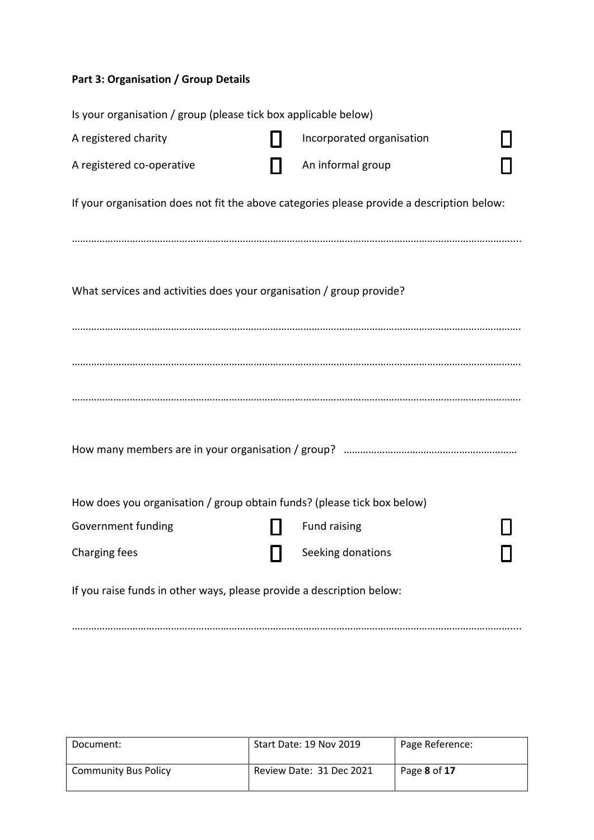### **Part 3: Organisation / Group Details**

| Is your organisation / group (please tick box applicable below)         |                                                                                            |  |
|-------------------------------------------------------------------------|--------------------------------------------------------------------------------------------|--|
| A registered charity                                                    | Incorporated organisation                                                                  |  |
| A registered co-operative                                               | An informal group                                                                          |  |
|                                                                         | If your organisation does not fit the above categories please provide a description below: |  |
|                                                                         |                                                                                            |  |
| What services and activities does your organisation / group provide?    |                                                                                            |  |
|                                                                         |                                                                                            |  |
|                                                                         |                                                                                            |  |
|                                                                         |                                                                                            |  |
|                                                                         |                                                                                            |  |
| How does you organisation / group obtain funds? (please tick box below) |                                                                                            |  |
| Government funding                                                      | Fund raising                                                                               |  |
| Charging fees                                                           | Seeking donations                                                                          |  |
| If you raise funds in other ways, please provide a description below:   |                                                                                            |  |

……………………………………………………………………………………………………………………………………………....

| Document:                   | Start Date: 19 Nov 2019  | Page Reference: |
|-----------------------------|--------------------------|-----------------|
| <b>Community Bus Policy</b> | Review Date: 31 Dec 2021 | Page 8 of 17    |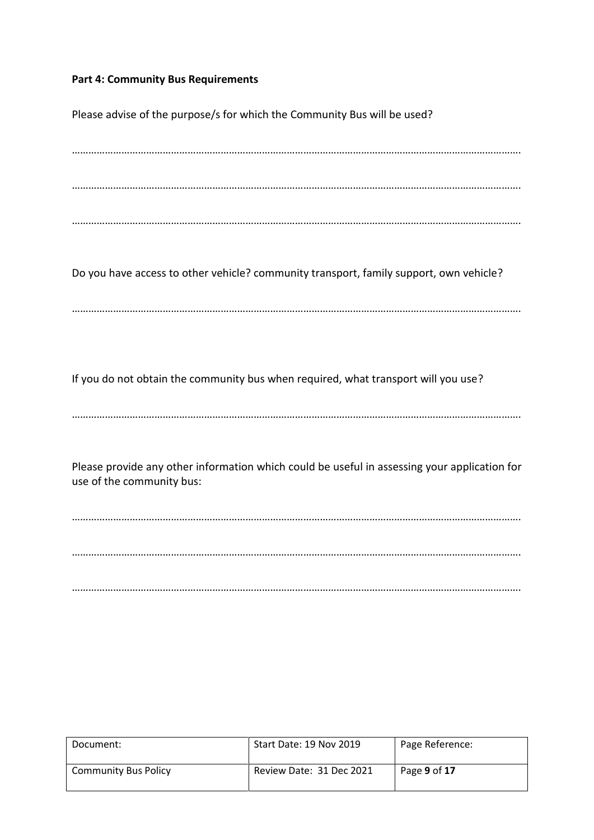### **Part 4: Community Bus Requirements**

Please advise of the purpose/s for which the Community Bus will be used? ………………………………………………………………………………………………………………………………………………. ………………………………………………………………………………………………………………………………………………. ………………………………………………………………………………………………………………………………………………. Do you have access to other vehicle? community transport, family support, own vehicle? ………………………………………………………………………………………………………………………………………………. If you do not obtain the community bus when required, what transport will you use? ………………………………………………………………………………………………………………………………………………. Please provide any other information which could be useful in assessing your application for use of the community bus: ………………………………………………………………………………………………………………………………………………. ………………………………………………………………………………………………………………………………………………. ……………………………………………………………………………………………………………………………………………….

| Document:                   | Start Date: 19 Nov 2019  | Page Reference: |
|-----------------------------|--------------------------|-----------------|
| <b>Community Bus Policy</b> | Review Date: 31 Dec 2021 | Page 9 of 17    |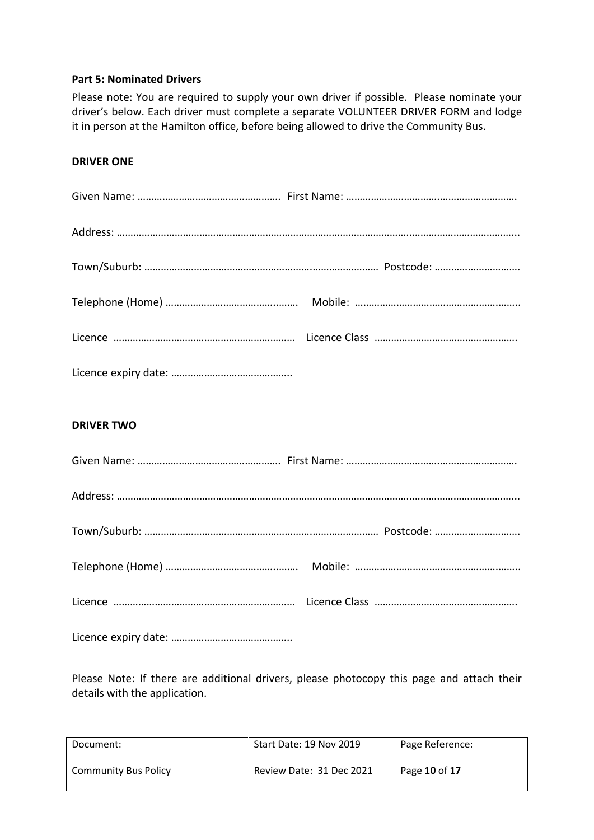### **Part 5: Nominated Drivers**

Please note: You are required to supply your own driver if possible. Please nominate your driver's below. Each driver must complete a separate VOLUNTEER DRIVER FORM and lodge it in person at the Hamilton office, before being allowed to drive the Community Bus.

### **DRIVER ONE**

| <b>DRIVER TWO</b> |  |
|-------------------|--|
|                   |  |
|                   |  |
|                   |  |
|                   |  |
|                   |  |

Licence expiry date: ……………………………………..

Please Note: If there are additional drivers, please photocopy this page and attach their details with the application.

| Document:                   | Start Date: 19 Nov 2019  | Page Reference: |
|-----------------------------|--------------------------|-----------------|
| <b>Community Bus Policy</b> | Review Date: 31 Dec 2021 | Page 10 of 17   |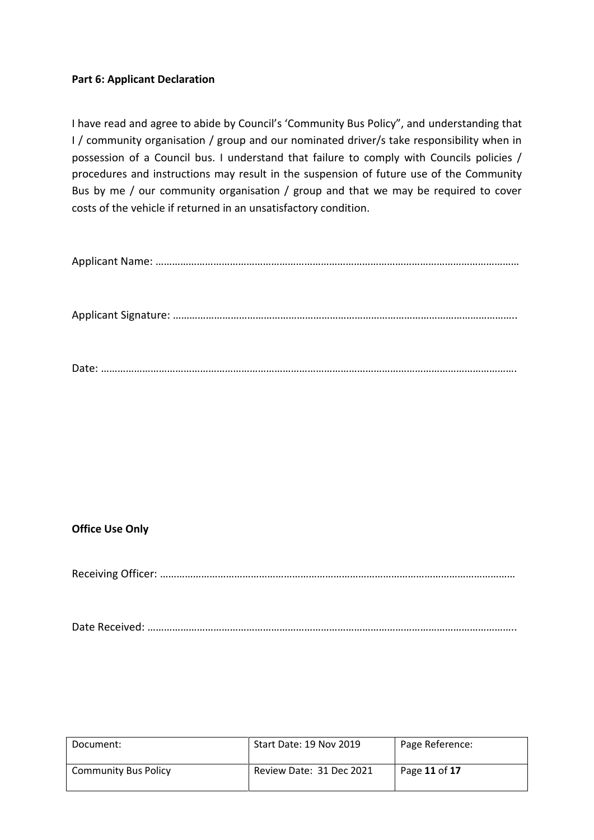### **Part 6: Applicant Declaration**

I have read and agree to abide by Council's 'Community Bus Policy", and understanding that I / community organisation / group and our nominated driver/s take responsibility when in possession of a Council bus. I understand that failure to comply with Councils policies / procedures and instructions may result in the suspension of future use of the Community Bus by me / our community organisation / group and that we may be required to cover costs of the vehicle if returned in an unsatisfactory condition.

|--|

Applicant Signature: ……………………………………………………………………………………………………………..

Date: …………………………………………………………………………………………………………………………………….

### **Office Use Only**

Receiving Officer: …………………………………………………………………………………………………………………

Date Received: ……………………………………………………………………………………………………………………..

| Document:                   | Start Date: 19 Nov 2019  | Page Reference: |
|-----------------------------|--------------------------|-----------------|
| <b>Community Bus Policy</b> | Review Date: 31 Dec 2021 | Page 11 of 17   |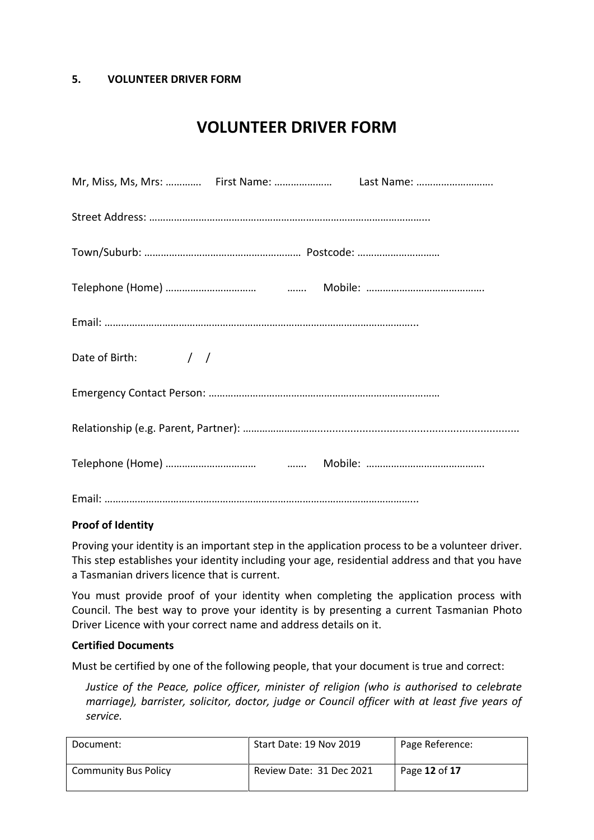### **5. VOLUNTEER DRIVER FORM**

# **VOLUNTEER DRIVER FORM**

| Date of Birth: / / |  |
|--------------------|--|
|                    |  |
|                    |  |
|                    |  |
|                    |  |

### **Proof of Identity**

Proving your identity is an important step in the application process to be a volunteer driver. This step establishes your identity including your age, residential address and that you have a Tasmanian drivers licence that is current.

You must provide proof of your identity when completing the application process with Council. The best way to prove your identity is by presenting a current Tasmanian Photo Driver Licence with your correct name and address details on it.

### **Certified Documents**

Must be certified by one of the following people, that your document is true and correct:

*Justice of the Peace, police officer, minister of religion (who is authorised to celebrate marriage), barrister, solicitor, doctor, judge or Council officer with at least five years of service.*

| Document:                   | Start Date: 19 Nov 2019  | Page Reference: |
|-----------------------------|--------------------------|-----------------|
| <b>Community Bus Policy</b> | Review Date: 31 Dec 2021 | Page 12 of 17   |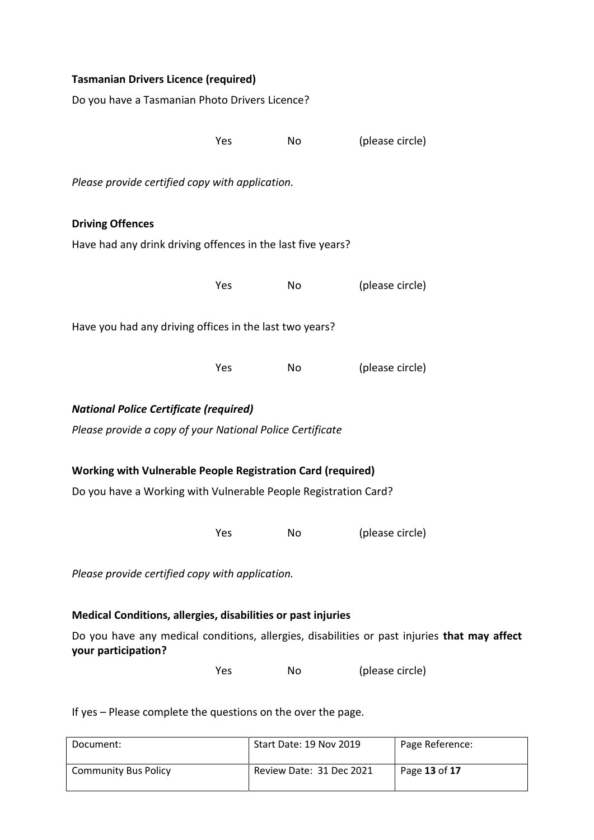| <b>Tasmanian Drivers Licence (required)</b>                        |     |    |                                                                                              |  |
|--------------------------------------------------------------------|-----|----|----------------------------------------------------------------------------------------------|--|
| Do you have a Tasmanian Photo Drivers Licence?                     |     |    |                                                                                              |  |
|                                                                    |     |    |                                                                                              |  |
|                                                                    | Yes | No | (please circle)                                                                              |  |
| Please provide certified copy with application.                    |     |    |                                                                                              |  |
| <b>Driving Offences</b>                                            |     |    |                                                                                              |  |
| Have had any drink driving offences in the last five years?        |     |    |                                                                                              |  |
|                                                                    | Yes | No | (please circle)                                                                              |  |
| Have you had any driving offices in the last two years?            |     |    |                                                                                              |  |
|                                                                    | Yes | No | (please circle)                                                                              |  |
| <b>National Police Certificate (required)</b>                      |     |    |                                                                                              |  |
| Please provide a copy of your National Police Certificate          |     |    |                                                                                              |  |
| <b>Working with Vulnerable People Registration Card (required)</b> |     |    |                                                                                              |  |
| Do you have a Working with Vulnerable People Registration Card?    |     |    |                                                                                              |  |
|                                                                    | Yes | No | (please circle)                                                                              |  |
| Please provide certified copy with application.                    |     |    |                                                                                              |  |
| Medical Conditions, allergies, disabilities or past injuries       |     |    |                                                                                              |  |
| your participation?                                                |     |    | Do you have any medical conditions, allergies, disabilities or past injuries that may affect |  |
|                                                                    | Yes | No | (please circle)                                                                              |  |

If yes – Please complete the questions on the over the page.

| Document:                   | Start Date: 19 Nov 2019  | Page Reference: |
|-----------------------------|--------------------------|-----------------|
| <b>Community Bus Policy</b> | Review Date: 31 Dec 2021 | Page 13 of 17   |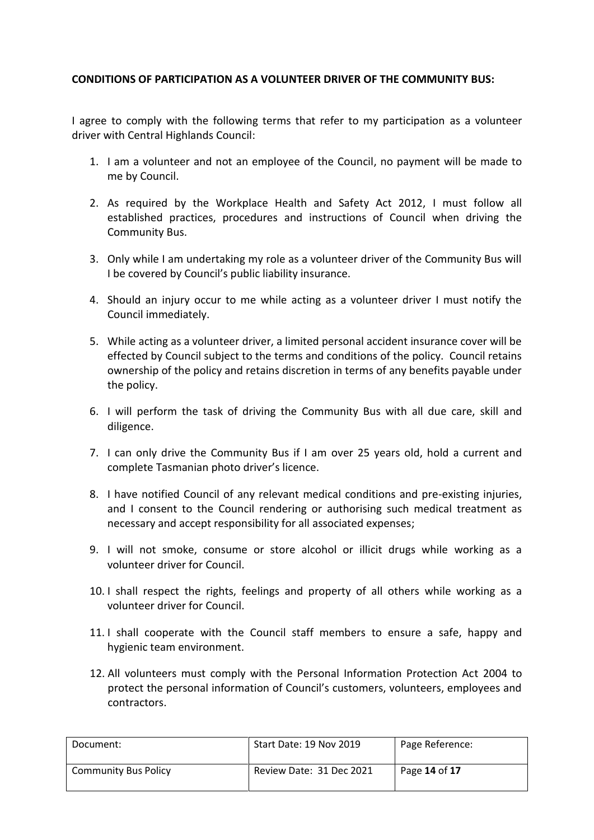### **CONDITIONS OF PARTICIPATION AS A VOLUNTEER DRIVER OF THE COMMUNITY BUS:**

I agree to comply with the following terms that refer to my participation as a volunteer driver with Central Highlands Council:

- 1. I am a volunteer and not an employee of the Council, no payment will be made to me by Council.
- 2. As required by the Workplace Health and Safety Act 2012, I must follow all established practices, procedures and instructions of Council when driving the Community Bus.
- 3. Only while I am undertaking my role as a volunteer driver of the Community Bus will I be covered by Council's public liability insurance.
- 4. Should an injury occur to me while acting as a volunteer driver I must notify the Council immediately.
- 5. While acting as a volunteer driver, a limited personal accident insurance cover will be effected by Council subject to the terms and conditions of the policy. Council retains ownership of the policy and retains discretion in terms of any benefits payable under the policy.
- 6. I will perform the task of driving the Community Bus with all due care, skill and diligence.
- 7. I can only drive the Community Bus if I am over 25 years old, hold a current and complete Tasmanian photo driver's licence.
- 8. I have notified Council of any relevant medical conditions and pre-existing injuries, and I consent to the Council rendering or authorising such medical treatment as necessary and accept responsibility for all associated expenses;
- 9. I will not smoke, consume or store alcohol or illicit drugs while working as a volunteer driver for Council.
- 10. I shall respect the rights, feelings and property of all others while working as a volunteer driver for Council.
- 11. I shall cooperate with the Council staff members to ensure a safe, happy and hygienic team environment.
- 12. All volunteers must comply with the Personal Information Protection Act 2004 to protect the personal information of Council's customers, volunteers, employees and contractors.

| Document:                   | Start Date: 19 Nov 2019  | Page Reference: |
|-----------------------------|--------------------------|-----------------|
| <b>Community Bus Policy</b> | Review Date: 31 Dec 2021 | Page 14 of 17   |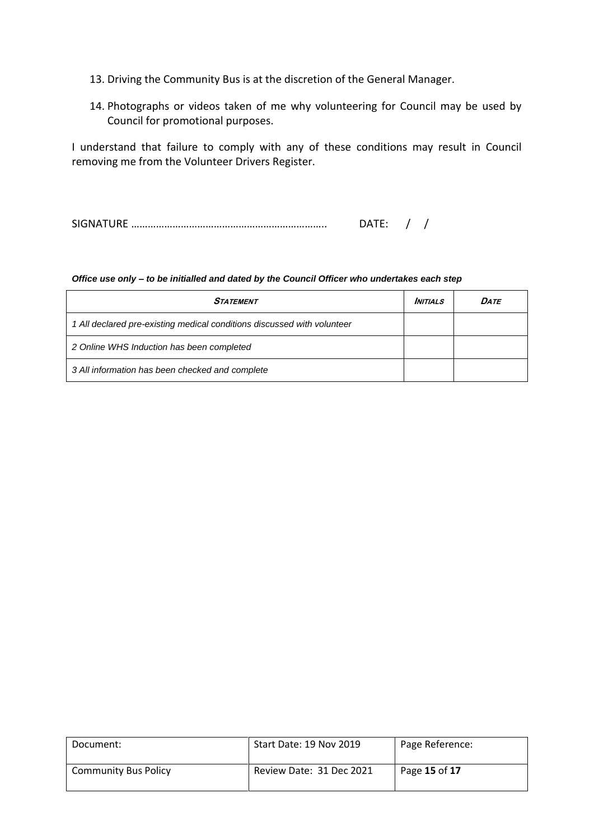- 13. Driving the Community Bus is at the discretion of the General Manager.
- 14. Photographs or videos taken of me why volunteering for Council may be used by Council for promotional purposes.

I understand that failure to comply with any of these conditions may result in Council removing me from the Volunteer Drivers Register.

SIGNATURE …………………………………………………………….. DATE: / /

#### *Office use only – to be initialled and dated by the Council Officer who undertakes each step*

| <b>STATEMENT</b>                                                        | <b>INITIALS</b> | DATE |
|-------------------------------------------------------------------------|-----------------|------|
| 1 All declared pre-existing medical conditions discussed with volunteer |                 |      |
| 2 Online WHS Induction has been completed                               |                 |      |
| 3 All information has been checked and complete                         |                 |      |

| Document:                   | Start Date: 19 Nov 2019  | Page Reference: |
|-----------------------------|--------------------------|-----------------|
| <b>Community Bus Policy</b> | Review Date: 31 Dec 2021 | Page 15 of 17   |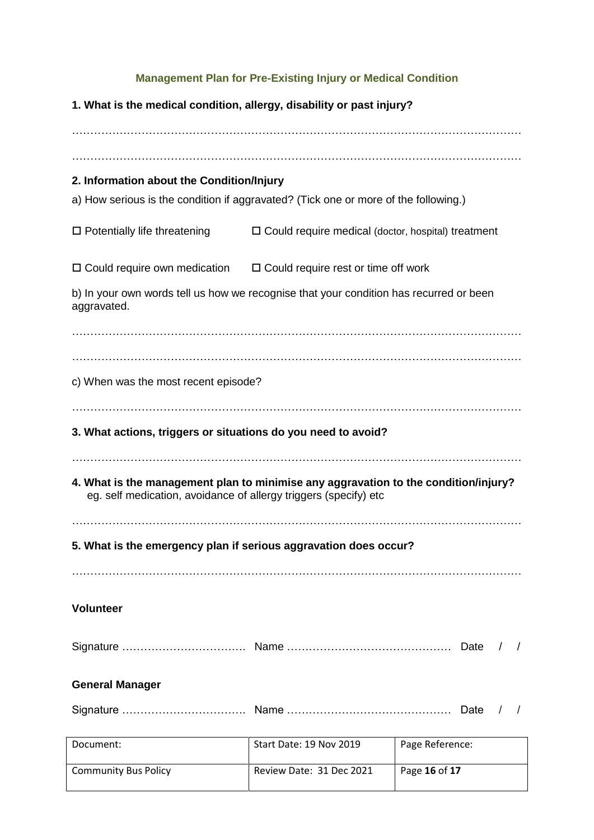### **Management Plan for Pre-Existing Injury or Medical Condition**

| 1. What is the medical condition, allergy, disability or past injury?                                                                                   |                                                           |                         |  |  |
|---------------------------------------------------------------------------------------------------------------------------------------------------------|-----------------------------------------------------------|-------------------------|--|--|
|                                                                                                                                                         |                                                           |                         |  |  |
|                                                                                                                                                         |                                                           |                         |  |  |
| 2. Information about the Condition/Injury                                                                                                               |                                                           |                         |  |  |
| a) How serious is the condition if aggravated? (Tick one or more of the following.)                                                                     |                                                           |                         |  |  |
| $\Box$ Potentially life threatening                                                                                                                     | $\Box$ Could require medical (doctor, hospital) treatment |                         |  |  |
| $\Box$ Could require own medication $\Box$ Could require rest or time off work                                                                          |                                                           |                         |  |  |
| b) In your own words tell us how we recognise that your condition has recurred or been<br>aggravated.                                                   |                                                           |                         |  |  |
|                                                                                                                                                         |                                                           |                         |  |  |
| c) When was the most recent episode?                                                                                                                    |                                                           |                         |  |  |
|                                                                                                                                                         |                                                           |                         |  |  |
| 3. What actions, triggers or situations do you need to avoid?                                                                                           |                                                           |                         |  |  |
| 4. What is the management plan to minimise any aggravation to the condition/injury?<br>eg. self medication, avoidance of allergy triggers (specify) etc |                                                           |                         |  |  |
| 5. What is the emergency plan if serious aggravation does occur?                                                                                        |                                                           |                         |  |  |
|                                                                                                                                                         |                                                           |                         |  |  |
| <b>Volunteer</b>                                                                                                                                        |                                                           |                         |  |  |
|                                                                                                                                                         |                                                           | Date<br>$\prime$        |  |  |
| <b>General Manager</b>                                                                                                                                  |                                                           |                         |  |  |
|                                                                                                                                                         |                                                           | Date<br>T<br>$\sqrt{ }$ |  |  |
| Document:                                                                                                                                               | Start Date: 19 Nov 2019                                   | Page Reference:         |  |  |
| <b>Community Bus Policy</b>                                                                                                                             | Review Date: 31 Dec 2021                                  | Page 16 of 17           |  |  |